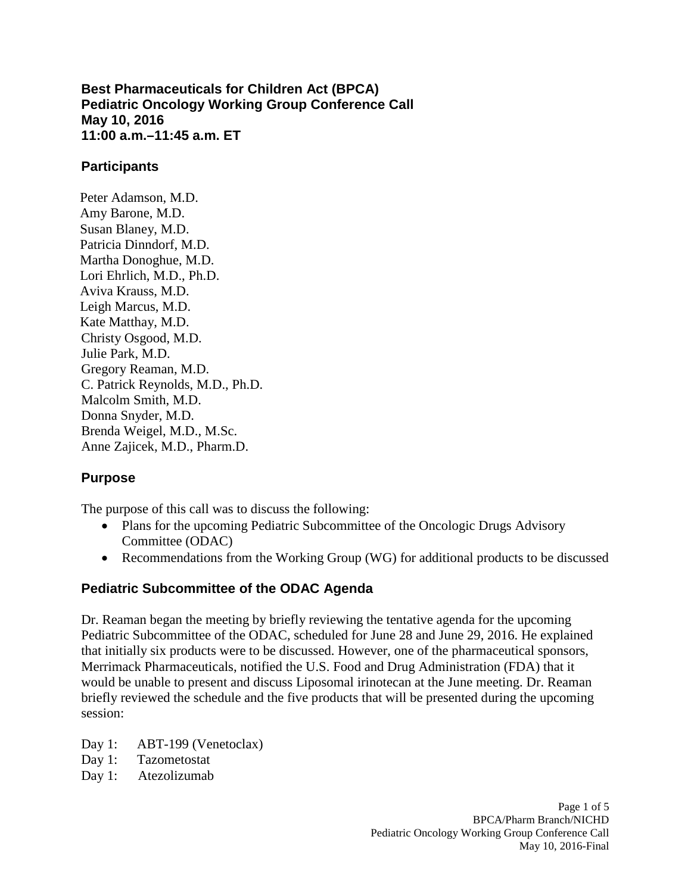**Best Pharmaceuticals for Children Act (BPCA) Pediatric Oncology Working Group Conference Call May 10, 2016 11:00 a.m.–11:45 a.m. ET** 

#### **Participants**

Peter Adamson, M.D. Amy Barone, M.D. Susan Blaney, M.D. Patricia Dinndorf, M.D. Martha Donoghue, M.D. Lori Ehrlich, M.D., Ph.D. Aviva Krauss, M.D. Leigh Marcus, M.D. Kate Matthay, M.D. Christy Osgood, M.D. Julie Park, M.D. Gregory Reaman, M.D. C. Patrick Reynolds, M.D., Ph.D. Malcolm Smith, M.D. Donna Snyder, M.D. Brenda Weigel, M.D., M.Sc. Anne Zajicek, M.D., Pharm.D.

# **Purpose**

The purpose of this call was to discuss the following:

- Plans for the upcoming Pediatric Subcommittee of the Oncologic Drugs Advisory Committee (ODAC)
- Recommendations from the Working Group (WG) for additional products to be discussed

## **Pediatric Subcommittee of the ODAC Agenda**

Dr. Reaman began the meeting by briefly reviewing the tentative agenda for the upcoming Pediatric Subcommittee of the ODAC, scheduled for June 28 and June 29, 2016. He explained that initially six products were to be discussed. However, one of the pharmaceutical sponsors, Merrimack Pharmaceuticals, notified the U.S. Food and Drug Administration (FDA) that it would be unable to present and discuss Liposomal irinotecan at the June meeting. Dr. Reaman briefly reviewed the schedule and the five products that will be presented during the upcoming session:

- Day 1: ABT-199 (Venetoclax)
- Day 1: Tazometostat
- Day 1: Atezolizumab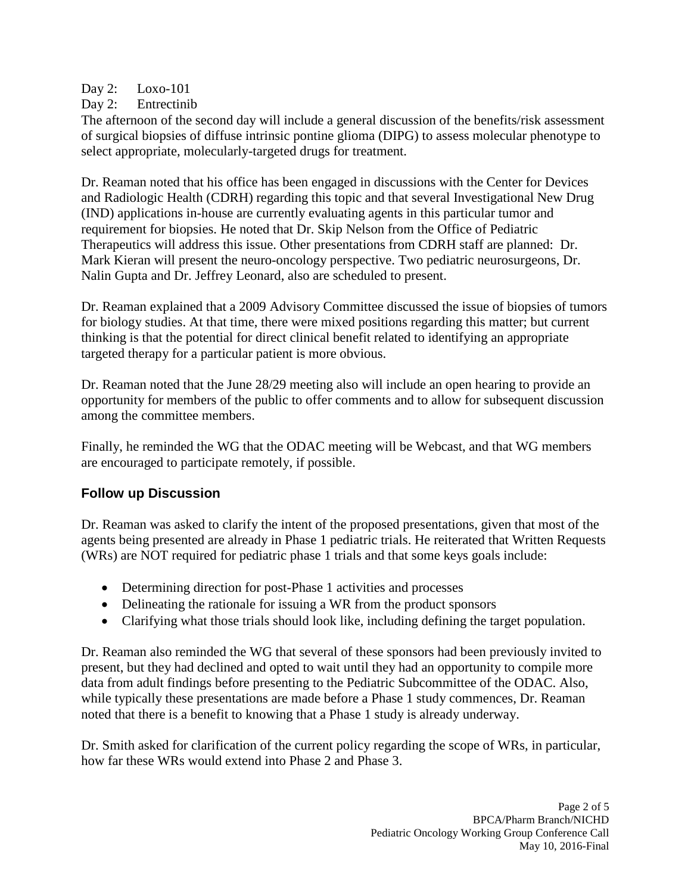#### Day 2: Loxo-101

Day 2: Entrectinib

The afternoon of the second day will include a general discussion of the benefits/risk assessment of surgical biopsies of diffuse intrinsic pontine glioma (DIPG) to assess molecular phenotype to select appropriate, molecularly-targeted drugs for treatment.

Dr. Reaman noted that his office has been engaged in discussions with the Center for Devices and Radiologic Health (CDRH) regarding this topic and that several Investigational New Drug (IND) applications in-house are currently evaluating agents in this particular tumor and requirement for biopsies. He noted that Dr. Skip Nelson from the Office of Pediatric Therapeutics will address this issue. Other presentations from CDRH staff are planned: Dr. Mark Kieran will present the neuro-oncology perspective. Two pediatric neurosurgeons, Dr. Nalin Gupta and Dr. Jeffrey Leonard, also are scheduled to present.

Dr. Reaman explained that a 2009 Advisory Committee discussed the issue of biopsies of tumors for biology studies. At that time, there were mixed positions regarding this matter; but current thinking is that the potential for direct clinical benefit related to identifying an appropriate targeted therapy for a particular patient is more obvious.

Dr. Reaman noted that the June 28/29 meeting also will include an open hearing to provide an opportunity for members of the public to offer comments and to allow for subsequent discussion among the committee members.

Finally, he reminded the WG that the ODAC meeting will be Webcast, and that WG members are encouraged to participate remotely, if possible.

## **Follow up Discussion**

Dr. Reaman was asked to clarify the intent of the proposed presentations, given that most of the agents being presented are already in Phase 1 pediatric trials. He reiterated that Written Requests (WRs) are NOT required for pediatric phase 1 trials and that some keys goals include:

- Determining direction for post-Phase 1 activities and processes
- Delineating the rationale for issuing a WR from the product sponsors
- Clarifying what those trials should look like, including defining the target population.

Dr. Reaman also reminded the WG that several of these sponsors had been previously invited to present, but they had declined and opted to wait until they had an opportunity to compile more data from adult findings before presenting to the Pediatric Subcommittee of the ODAC. Also, while typically these presentations are made before a Phase 1 study commences, Dr. Reaman noted that there is a benefit to knowing that a Phase 1 study is already underway.

Dr. Smith asked for clarification of the current policy regarding the scope of WRs, in particular, how far these WRs would extend into Phase 2 and Phase 3.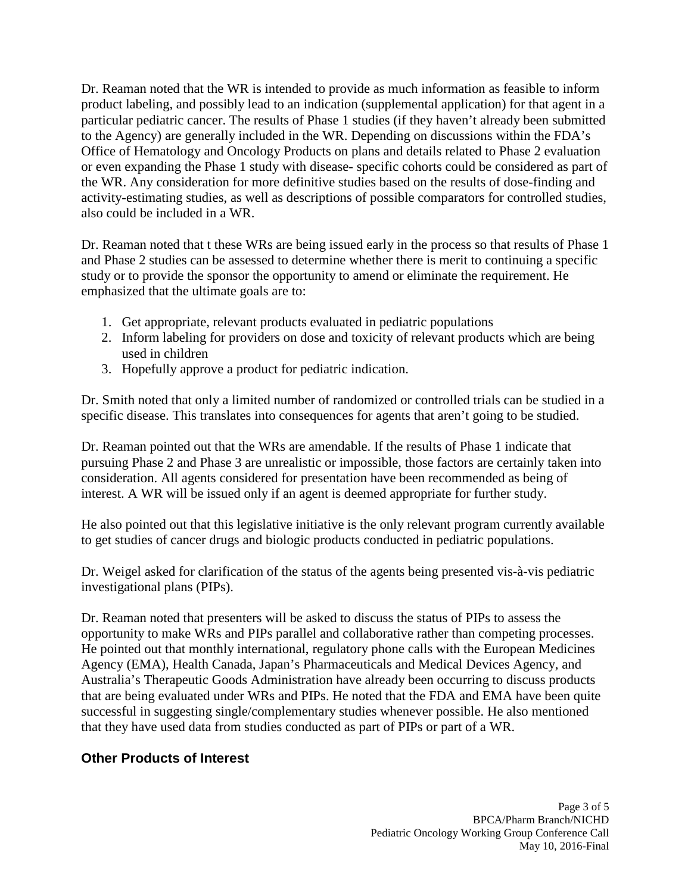Dr. Reaman noted that the WR is intended to provide as much information as feasible to inform product labeling, and possibly lead to an indication (supplemental application) for that agent in a particular pediatric cancer. The results of Phase 1 studies (if they haven't already been submitted to the Agency) are generally included in the WR. Depending on discussions within the FDA's Office of Hematology and Oncology Products on plans and details related to Phase 2 evaluation or even expanding the Phase 1 study with disease- specific cohorts could be considered as part of the WR. Any consideration for more definitive studies based on the results of dose-finding and activity-estimating studies, as well as descriptions of possible comparators for controlled studies, also could be included in a WR.

Dr. Reaman noted that t these WRs are being issued early in the process so that results of Phase 1 and Phase 2 studies can be assessed to determine whether there is merit to continuing a specific study or to provide the sponsor the opportunity to amend or eliminate the requirement. He emphasized that the ultimate goals are to:

- 1. Get appropriate, relevant products evaluated in pediatric populations
- 2. Inform labeling for providers on dose and toxicity of relevant products which are being used in children
- 3. Hopefully approve a product for pediatric indication.

Dr. Smith noted that only a limited number of randomized or controlled trials can be studied in a specific disease. This translates into consequences for agents that aren't going to be studied.

Dr. Reaman pointed out that the WRs are amendable. If the results of Phase 1 indicate that pursuing Phase 2 and Phase 3 are unrealistic or impossible, those factors are certainly taken into consideration. All agents considered for presentation have been recommended as being of interest. A WR will be issued only if an agent is deemed appropriate for further study.

He also pointed out that this legislative initiative is the only relevant program currently available to get studies of cancer drugs and biologic products conducted in pediatric populations.

Dr. Weigel asked for clarification of the status of the agents being presented vis-à-vis pediatric investigational plans (PIPs).

Dr. Reaman noted that presenters will be asked to discuss the status of PIPs to assess the opportunity to make WRs and PIPs parallel and collaborative rather than competing processes. He pointed out that monthly international, regulatory phone calls with the European Medicines Agency (EMA), Health Canada, Japan's Pharmaceuticals and Medical Devices Agency, and Australia's Therapeutic Goods Administration have already been occurring to discuss products that are being evaluated under WRs and PIPs. He noted that the FDA and EMA have been quite successful in suggesting single/complementary studies whenever possible. He also mentioned that they have used data from studies conducted as part of PIPs or part of a WR.

## **Other Products of Interest**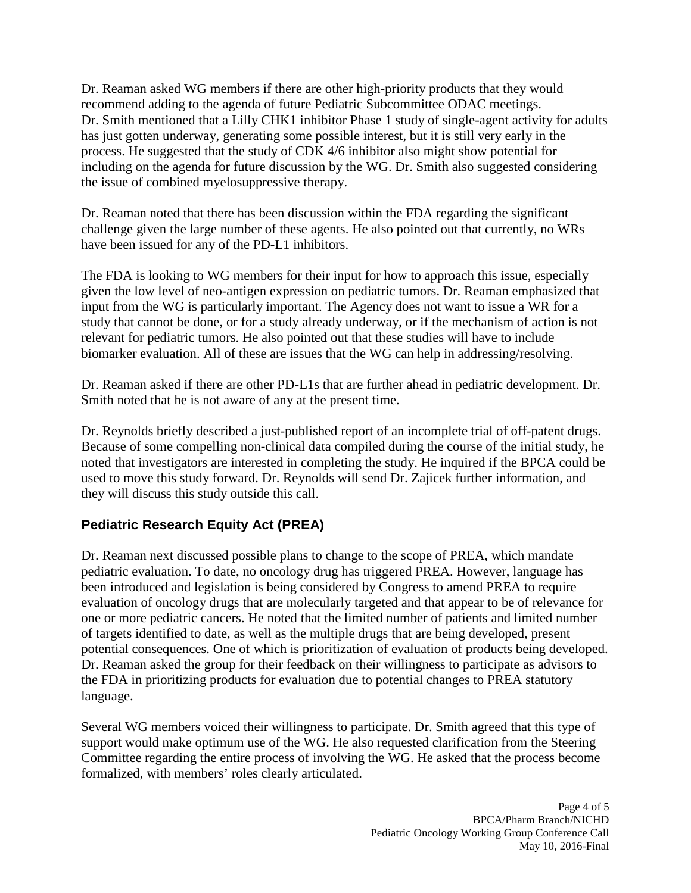Dr. Reaman asked WG members if there are other high-priority products that they would recommend adding to the agenda of future Pediatric Subcommittee ODAC meetings. Dr. Smith mentioned that a Lilly CHK1 inhibitor Phase 1 study of single-agent activity for adults has just gotten underway, generating some possible interest, but it is still very early in the process. He suggested that the study of CDK 4/6 inhibitor also might show potential for including on the agenda for future discussion by the WG. Dr. Smith also suggested considering the issue of combined myelosuppressive therapy.

Dr. Reaman noted that there has been discussion within the FDA regarding the significant challenge given the large number of these agents. He also pointed out that currently, no WRs have been issued for any of the PD-L1 inhibitors.

The FDA is looking to WG members for their input for how to approach this issue, especially given the low level of neo-antigen expression on pediatric tumors. Dr. Reaman emphasized that input from the WG is particularly important. The Agency does not want to issue a WR for a study that cannot be done, or for a study already underway, or if the mechanism of action is not relevant for pediatric tumors. He also pointed out that these studies will have to include biomarker evaluation. All of these are issues that the WG can help in addressing/resolving.

Dr. Reaman asked if there are other PD-L1s that are further ahead in pediatric development. Dr. Smith noted that he is not aware of any at the present time.

Dr. Reynolds briefly described a just-published report of an incomplete trial of off-patent drugs. Because of some compelling non-clinical data compiled during the course of the initial study, he noted that investigators are interested in completing the study. He inquired if the BPCA could be used to move this study forward. Dr. Reynolds will send Dr. Zajicek further information, and they will discuss this study outside this call.

# **Pediatric Research Equity Act (PREA)**

Dr. Reaman next discussed possible plans to change to the scope of PREA, which mandate pediatric evaluation. To date, no oncology drug has triggered PREA. However, language has been introduced and legislation is being considered by Congress to amend PREA to require evaluation of oncology drugs that are molecularly targeted and that appear to be of relevance for one or more pediatric cancers. He noted that the limited number of patients and limited number of targets identified to date, as well as the multiple drugs that are being developed, present potential consequences. One of which is prioritization of evaluation of products being developed. Dr. Reaman asked the group for their feedback on their willingness to participate as advisors to the FDA in prioritizing products for evaluation due to potential changes to PREA statutory language.

Several WG members voiced their willingness to participate. Dr. Smith agreed that this type of support would make optimum use of the WG. He also requested clarification from the Steering Committee regarding the entire process of involving the WG. He asked that the process become formalized, with members' roles clearly articulated.